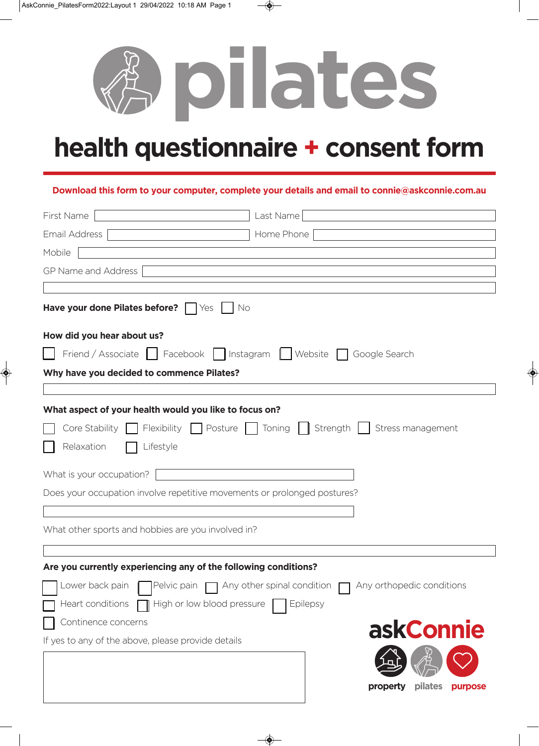

## **health questionnaire + consent form**

## **Download this form to your computer, complete your details and email to connie@askconnie.com.au**

| First Name                                                               | Last Name                                                                                               |
|--------------------------------------------------------------------------|---------------------------------------------------------------------------------------------------------|
| <b>Email Address</b>                                                     | Home Phone                                                                                              |
| Mobile                                                                   |                                                                                                         |
| GP Name and Address                                                      |                                                                                                         |
|                                                                          |                                                                                                         |
| Have your done Pilates before? Ves Sollar                                |                                                                                                         |
| How did you hear about us?                                               |                                                                                                         |
|                                                                          | Friend / Associate   Facebook   Instagram   Website   Google Search                                     |
| Why have you decided to commence Pilates?                                |                                                                                                         |
|                                                                          |                                                                                                         |
| What aspect of your health would you like to focus on?                   |                                                                                                         |
|                                                                          | Core Stability $\Box$ Flexibility $\Box$ Posture $\Box$ Toning $\Box$ Strength $\Box$ Stress management |
| Relaxation<br>Lifestyle                                                  |                                                                                                         |
| What is your occupation?                                                 |                                                                                                         |
| Does your occupation involve repetitive movements or prolonged postures? |                                                                                                         |
|                                                                          |                                                                                                         |
| What other sports and hobbies are you involved in?                       |                                                                                                         |
|                                                                          |                                                                                                         |
| Are you currently experiencing any of the following conditions?          |                                                                                                         |
|                                                                          | □ Lower back pain ■ Pelvic pain ■ Any other spinal condition ■ Any orthopedic conditions                |
| High or low blood pressure<br>Heart conditions                           | Epilepsy                                                                                                |
| Continence concerns                                                      |                                                                                                         |
| If yes to any of the above, please provide details                       | askConnie                                                                                               |
|                                                                          |                                                                                                         |
|                                                                          | property<br>pilates<br>purpose                                                                          |